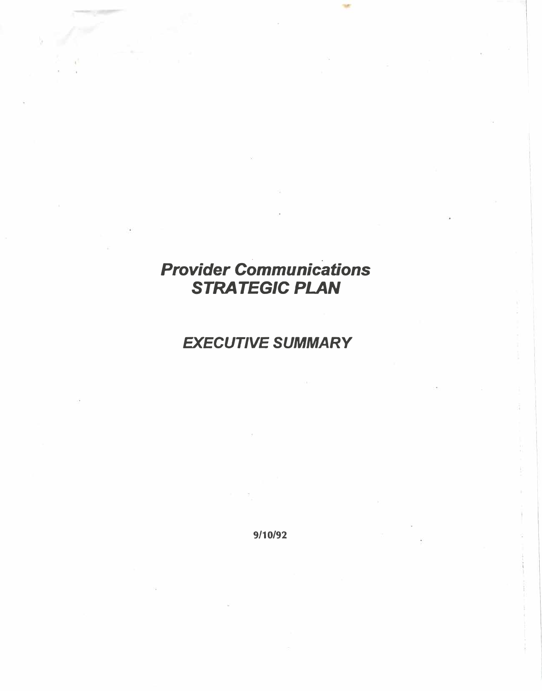## . . *Provider Communications*  **STRATEGIC PLAN**

## *EXECUTIVE SUMMARY*

9/10/92